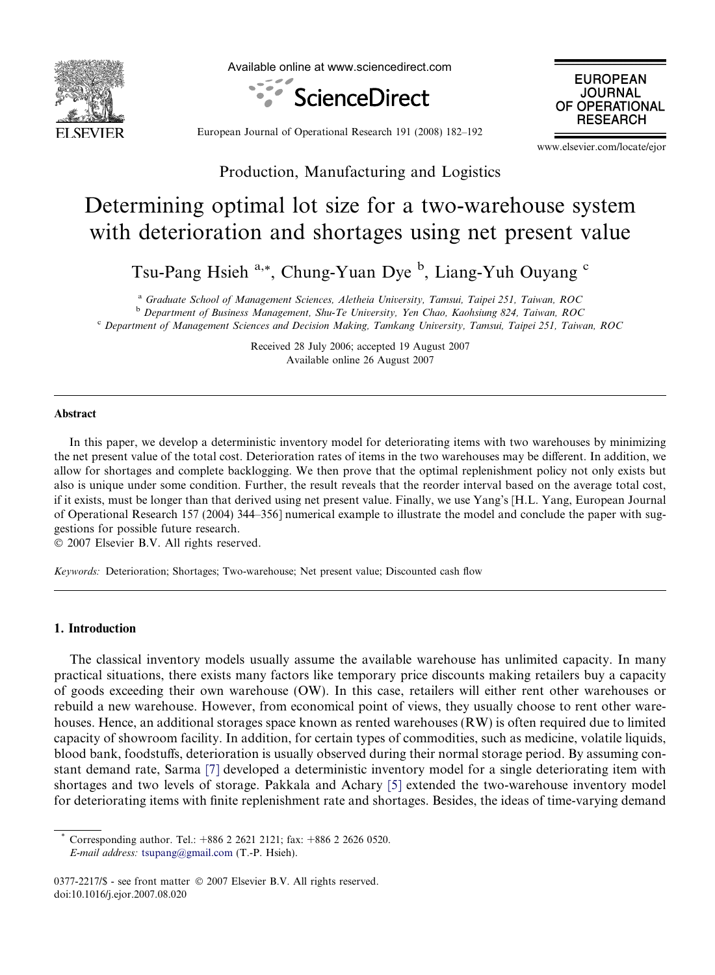

Available online at www.sciencedirect.com





European Journal of Operational Research 191 (2008) 182–192

www.elsevier.com/locate/ejor

# Production, Manufacturing and Logistics

# Determining optimal lot size for a two-warehouse system with deterioration and shortages using net present value

Tsu-Pang Hsieh<sup>a,\*</sup>, Chung-Yuan Dye<sup>b</sup>, Liang-Yuh Ouyang<sup>c</sup>

<sup>a</sup> Graduate School of Management Sciences, Aletheia University, Tamsui, Taipei 251, Taiwan, ROC

<sup>b</sup> Department of Business Management, Shu-Te University, Yen Chao, Kaohsiung 824, Taiwan, ROC

<sup>c</sup> Department of Management Sciences and Decision Making, Tamkang University, Tamsui, Taipei 251, Taiwan, ROC

Received 28 July 2006; accepted 19 August 2007 Available online 26 August 2007

#### Abstract

In this paper, we develop a deterministic inventory model for deteriorating items with two warehouses by minimizing the net present value of the total cost. Deterioration rates of items in the two warehouses may be different. In addition, we allow for shortages and complete backlogging. We then prove that the optimal replenishment policy not only exists but also is unique under some condition. Further, the result reveals that the reorder interval based on the average total cost, if it exists, must be longer than that derived using net present value. Finally, we use Yang's [H.L. Yang, European Journal of Operational Research 157 (2004) 344–356] numerical example to illustrate the model and conclude the paper with suggestions for possible future research.

© 2007 Elsevier B.V. All rights reserved.

Keywords: Deterioration; Shortages; Two-warehouse; Net present value; Discounted cash flow

# 1. Introduction

The classical inventory models usually assume the available warehouse has unlimited capacity. In many practical situations, there exists many factors like temporary price discounts making retailers buy a capacity of goods exceeding their own warehouse (OW). In this case, retailers will either rent other warehouses or rebuild a new warehouse. However, from economical point of views, they usually choose to rent other warehouses. Hence, an additional storages space known as rented warehouses (RW) is often required due to limited capacity of showroom facility. In addition, for certain types of commodities, such as medicine, volatile liquids, blood bank, foodstuffs, deterioration is usually observed during their normal storage period. By assuming constant demand rate, Sarma [\[7\]](#page-10-0) developed a deterministic inventory model for a single deteriorating item with shortages and two levels of storage. Pakkala and Achary [\[5\]](#page-10-0) extended the two-warehouse inventory model for deteriorating items with finite replenishment rate and shortages. Besides, the ideas of time-varying demand

Corresponding author. Tel.: +886 2 2621 2121; fax: +886 2 2626 0520. E-mail address: [tsupang@gmail.com](mailto:tsupang@gmail.com) (T.-P. Hsieh).

<sup>0377-2217/\$ -</sup> see front matter © 2007 Elsevier B.V. All rights reserved. doi:10.1016/j.ejor.2007.08.020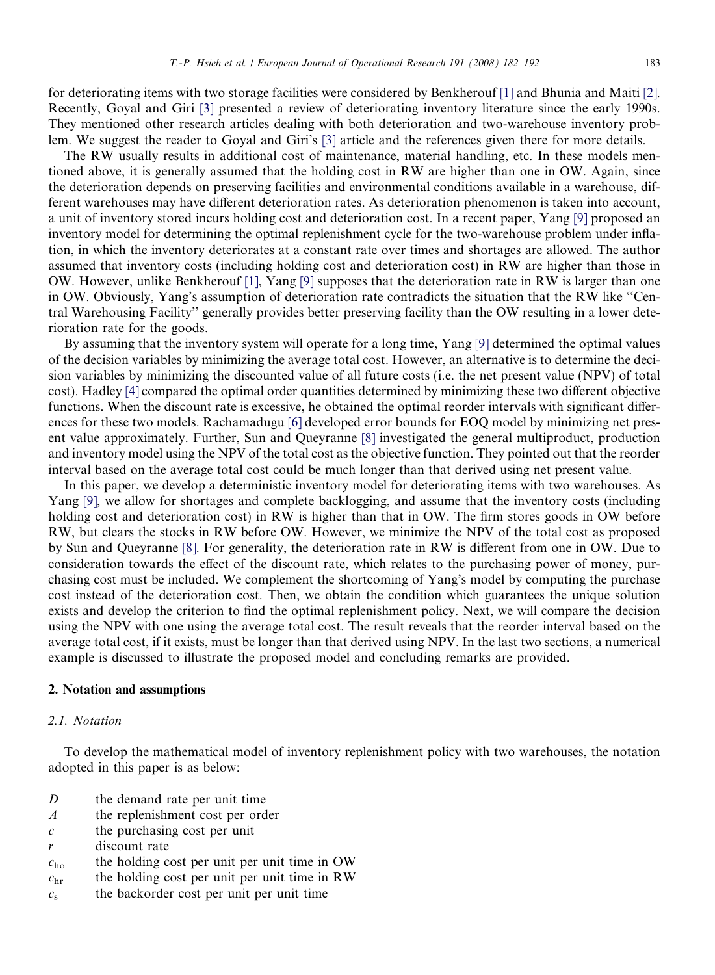for deteriorating items with two storage facilities were considered by Benkherouf [\[1\]](#page-10-0) and Bhunia and Maiti [\[2\]](#page-10-0). Recently, Goyal and Giri [\[3\]](#page-10-0) presented a review of deteriorating inventory literature since the early 1990s. They mentioned other research articles dealing with both deterioration and two-warehouse inventory problem. We suggest the reader to Goyal and Giri's [\[3\]](#page-10-0) article and the references given there for more details.

The RW usually results in additional cost of maintenance, material handling, etc. In these models mentioned above, it is generally assumed that the holding cost in RW are higher than one in OW. Again, since the deterioration depends on preserving facilities and environmental conditions available in a warehouse, different warehouses may have different deterioration rates. As deterioration phenomenon is taken into account, a unit of inventory stored incurs holding cost and deterioration cost. In a recent paper, Yang [\[9\]](#page-10-0) proposed an inventory model for determining the optimal replenishment cycle for the two-warehouse problem under inflation, in which the inventory deteriorates at a constant rate over times and shortages are allowed. The author assumed that inventory costs (including holding cost and deterioration cost) in RW are higher than those in OW. However, unlike Benkherouf [\[1\],](#page-10-0) Yang [\[9\]](#page-10-0) supposes that the deterioration rate in RW is larger than one in OW. Obviously, Yang's assumption of deterioration rate contradicts the situation that the RW like ''Central Warehousing Facility'' generally provides better preserving facility than the OW resulting in a lower deterioration rate for the goods.

By assuming that the inventory system will operate for a long time, Yang [\[9\]](#page-10-0) determined the optimal values of the decision variables by minimizing the average total cost. However, an alternative is to determine the decision variables by minimizing the discounted value of all future costs (i.e. the net present value (NPV) of total cost). Hadley [\[4\]](#page-10-0) compared the optimal order quantities determined by minimizing these two different objective functions. When the discount rate is excessive, he obtained the optimal reorder intervals with significant differences for these two models. Rachamadugu [\[6\]](#page-10-0) developed error bounds for EOQ model by minimizing net present value approximately. Further, Sun and Queyranne [\[8\]](#page-10-0) investigated the general multiproduct, production and inventory model using the NPV of the total cost as the objective function. They pointed out that the reorder interval based on the average total cost could be much longer than that derived using net present value.

In this paper, we develop a deterministic inventory model for deteriorating items with two warehouses. As Yang [\[9\],](#page-10-0) we allow for shortages and complete backlogging, and assume that the inventory costs (including holding cost and deterioration cost) in RW is higher than that in OW. The firm stores goods in OW before RW, but clears the stocks in RW before OW. However, we minimize the NPV of the total cost as proposed by Sun and Queyranne [\[8\]](#page-10-0). For generality, the deterioration rate in RW is different from one in OW. Due to consideration towards the effect of the discount rate, which relates to the purchasing power of money, purchasing cost must be included. We complement the shortcoming of Yang's model by computing the purchase cost instead of the deterioration cost. Then, we obtain the condition which guarantees the unique solution exists and develop the criterion to find the optimal replenishment policy. Next, we will compare the decision using the NPV with one using the average total cost. The result reveals that the reorder interval based on the average total cost, if it exists, must be longer than that derived using NPV. In the last two sections, a numerical example is discussed to illustrate the proposed model and concluding remarks are provided.

## 2. Notation and assumptions

#### 2.1. Notation

To develop the mathematical model of inventory replenishment policy with two warehouses, the notation adopted in this paper is as below:

- D the demand rate per unit time
- A the replenishment cost per order
- $c$  the purchasing cost per unit
- r discount rate
- $c_{\text{ho}}$  the holding cost per unit per unit time in OW
- $c<sub>hr</sub>$  the holding cost per unit per unit time in RW
- $c<sub>s</sub>$  the backorder cost per unit per unit time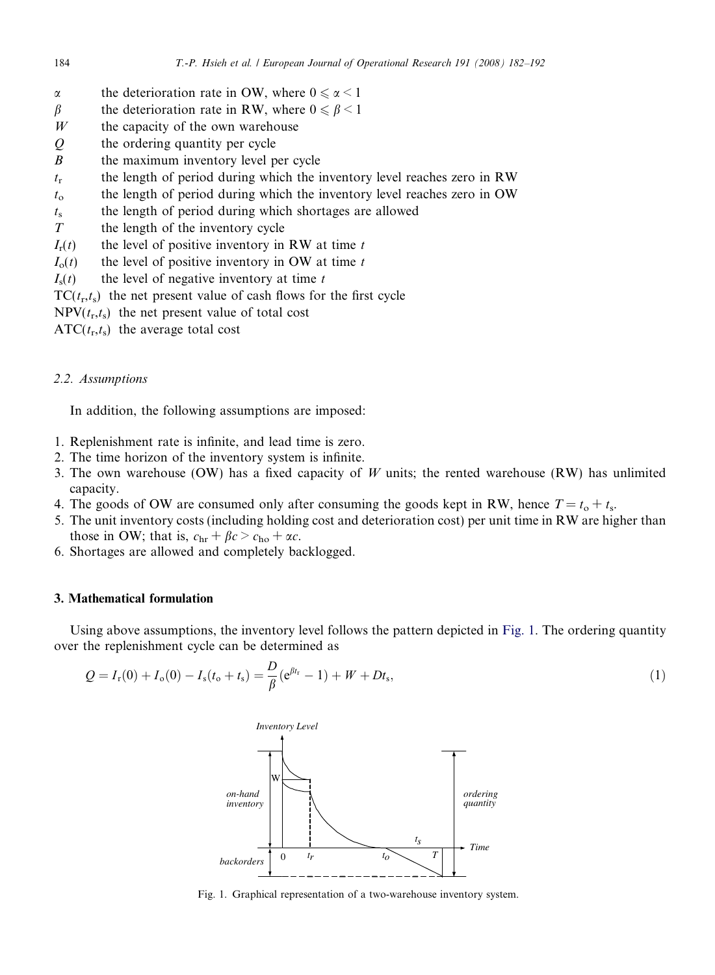- <span id="page-2-0"></span> $\alpha$  the deterioration rate in OW, where  $0 \le \alpha \le 1$
- $\beta$  the deterioration rate in RW, where  $0 \le \beta \le 1$
- $W$  the capacity of the own warehouse
- Q the ordering quantity per cycle
- $B$  the maximum inventory level per cycle
- $t_r$  the length of period during which the inventory level reaches zero in RW
- $t<sub>o</sub>$  the length of period during which the inventory level reaches zero in OW
- $t<sub>s</sub>$  the length of period during which shortages are allowed
- $T$  the length of the inventory cycle
- $I_r(t)$  the level of positive inventory in RW at time t
- $I_0(t)$  the level of positive inventory in OW at time t
- $I_{s}(t)$  the level of negative inventory at time t
- $TC(t_r,t_s)$  the net present value of cash flows for the first cycle
- $NPV(t_r,t_s)$  the net present value of total cost
- $\text{ATC}(t_{\text{r}},t_{\text{s}})$  the average total cost

# 2.2. Assumptions

In addition, the following assumptions are imposed:

- 1. Replenishment rate is infinite, and lead time is zero.
- 2. The time horizon of the inventory system is infinite.
- 3. The own warehouse (OW) has a fixed capacity of  $W$  units; the rented warehouse (RW) has unlimited capacity.
- 4. The goods of OW are consumed only after consuming the goods kept in RW, hence  $T = t_0 + t_s$ .
- 5. The unit inventory costs (including holding cost and deterioration cost) per unit time in RW are higher than those in OW; that is,  $c_{\text{hr}} + \beta c > c_{\text{ho}} + \alpha c$ .
- 6. Shortages are allowed and completely backlogged.

# 3. Mathematical formulation

Using above assumptions, the inventory level follows the pattern depicted in Fig. 1. The ordering quantity over the replenishment cycle can be determined as

$$
Q = I_{r}(0) + I_{o}(0) - I_{s}(t_{o} + t_{s}) = \frac{D}{\beta} (e^{\beta t_{r}} - 1) + W + Dt_{s},
$$
\n(1)



Fig. 1. Graphical representation of a two-warehouse inventory system.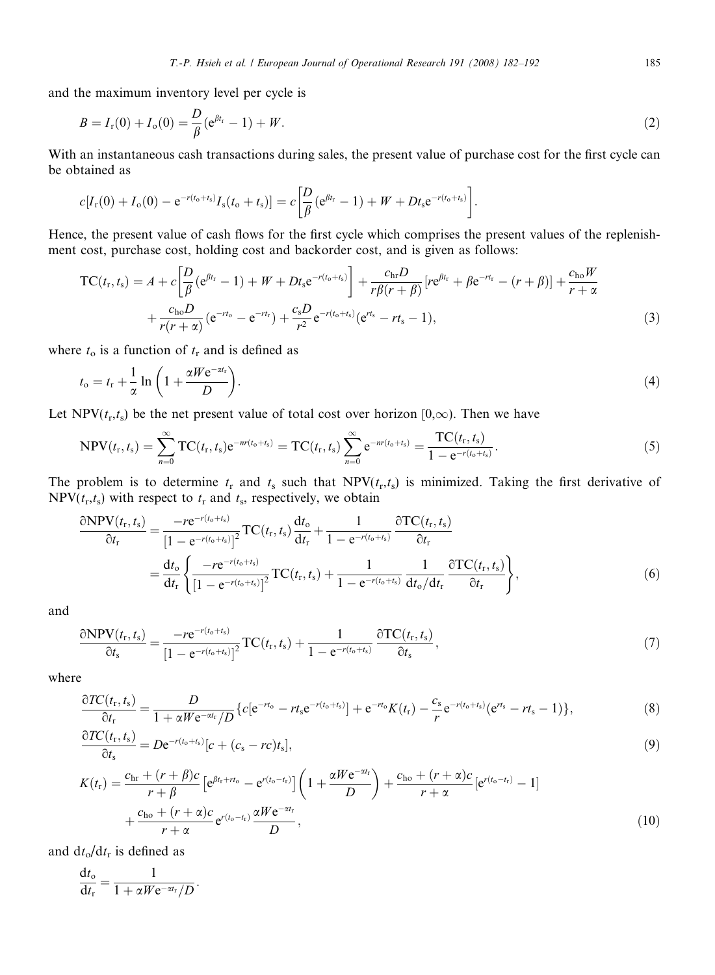<span id="page-3-0"></span>and the maximum inventory level per cycle is

$$
B = I_{r}(0) + I_{o}(0) = \frac{D}{\beta} (e^{\beta t_{r}} - 1) + W.
$$
\n(2)

With an instantaneous cash transactions during sales, the present value of purchase cost for the first cycle can be obtained as

$$
c[I_{r}(0)+I_{o}(0)-e^{-r(t_{o}+t_{s})}I_{s}(t_{o}+t_{s})]=c\bigg[\frac{D}{\beta}(e^{\beta t_{r}}-1)+W+Dt_{s}e^{-r(t_{o}+t_{s})}\bigg].
$$

Hence, the present value of cash flows for the first cycle which comprises the present values of the replenishment cost, purchase cost, holding cost and backorder cost, and is given as follows:

$$
TC(t_{r}, t_{s}) = A + c \left[ \frac{D}{\beta} (e^{\beta t_{r}} - 1) + W + Dt_{s} e^{-r(t_{o} + t_{s})} \right] + \frac{c_{hr} D}{r \beta (r + \beta)} [re^{\beta t_{r}} + \beta e^{-r t_{r}} - (r + \beta)] + \frac{c_{ho} W}{r + \alpha} + \frac{c_{ho} D}{r(r + \alpha)} (e^{-r t_{o}} - e^{-r t_{r}}) + \frac{c_{s} D}{r^{2}} e^{-r(t_{o} + t_{s})} (e^{r t_{s}} - r t_{s} - 1),
$$
\n(3)

where  $t_0$  is a function of  $t_r$  and is defined as

$$
t_{o} = t_{r} + \frac{1}{\alpha} \ln \left( 1 + \frac{\alpha W e^{-\alpha t_{r}}}{D} \right).
$$
\n(4)

Let NPV( $t_r$ , $t_s$ ) be the net present value of total cost over horizon [0, $\infty$ ). Then we have

$$
NPV(t_r, t_s) = \sum_{n=0}^{\infty} TC(t_r, t_s) e^{-nr(t_0 + t_s)} = TC(t_r, t_s) \sum_{n=0}^{\infty} e^{-nr(t_0 + t_s)} = \frac{TC(t_r, t_s)}{1 - e^{-r(t_0 + t_s)}}.
$$
\n(5)

The problem is to determine  $t_r$  and  $t_s$  such that NPV( $t_r$ , $t_s$ ) is minimized. Taking the first derivative of  $NPV(t_r,t_s)$  with respect to  $t_r$  and  $t_s$ , respectively, we obtain

$$
\frac{\partial NPV(t_r, t_s)}{\partial t_r} = \frac{-re^{-r(t_0 + t_s)}}{\left[1 - e^{-r(t_0 + t_s)}\right]^2} \text{TC}(t_r, t_s) \frac{dt_o}{dt_r} + \frac{1}{1 - e^{-r(t_0 + t_s)}} \frac{\partial TC(t_r, t_s)}{\partial t_r}
$$
\n
$$
= \frac{dt_o}{dt_r} \left\{ \frac{-re^{-r(t_0 + t_s)}}{\left[1 - e^{-r(t_0 + t_s)}\right]^2} \text{TC}(t_r, t_s) + \frac{1}{1 - e^{-r(t_0 + t_s)}} \frac{1}{dt_o/dt_r} \frac{\partial TC(t_r, t_s)}{\partial t_r} \right\},
$$
\n(6)

and

$$
\frac{\partial NPV(t_r, t_s)}{\partial t_s} = \frac{-re^{-r(t_o + t_s)}}{\left[1 - e^{-r(t_o + t_s)}\right]^2} \text{TC}(t_r, t_s) + \frac{1}{1 - e^{-r(t_o + t_s)}} \frac{\partial \text{TC}(t_r, t_s)}{\partial t_s},\tag{7}
$$

where

$$
\frac{\partial TC(t_{\rm r}, t_{\rm s})}{\partial t_{\rm r}} = \frac{D}{1 + \alpha W e^{-\alpha t_{\rm r}}/D} \{c[e^{-rt_{\rm o}} - rt_{\rm s}e^{-r(t_{\rm o} + t_{\rm s})}] + e^{-rt_{\rm o}}K(t_{\rm r}) - \frac{c_{\rm s}}{r}e^{-r(t_{\rm o} + t_{\rm s})}(e^{rt_{\rm s}} - rt_{\rm s} - 1)\},\tag{8}
$$

$$
\frac{\partial TC(t_{\rm r}, t_{\rm s})}{\partial t_{\rm s}} = D e^{-r(t_{\rm o} + t_{\rm s})} [c + (c_{\rm s} - rc)t_{\rm s}],\tag{9}
$$

$$
K(t_{r}) = \frac{c_{\text{hr}} + (r + \beta)c}{r + \beta} \left[ e^{\beta t_{r} + rt_{o}} - e^{r(t_{o} - t_{r})} \right] \left( 1 + \frac{\alpha W e^{-\alpha t_{r}}}{D} \right) + \frac{c_{\text{ho}} + (r + \alpha)c}{r + \alpha} \left[ e^{r(t_{o} - t_{r})} - 1 \right] + \frac{c_{\text{ho}} + (r + \alpha)c}{r + \alpha} e^{r(t_{o} - t_{r})} \frac{\alpha W e^{-\alpha t_{r}}}{D}, \tag{10}
$$

and  $dt_o/dt_r$  is defined as

$$
\frac{\mathrm{d}t_{\mathrm{o}}}{\mathrm{d}t_{\mathrm{r}}} = \frac{1}{1 + \alpha W e^{-\alpha t_{\mathrm{r}}}/D}.
$$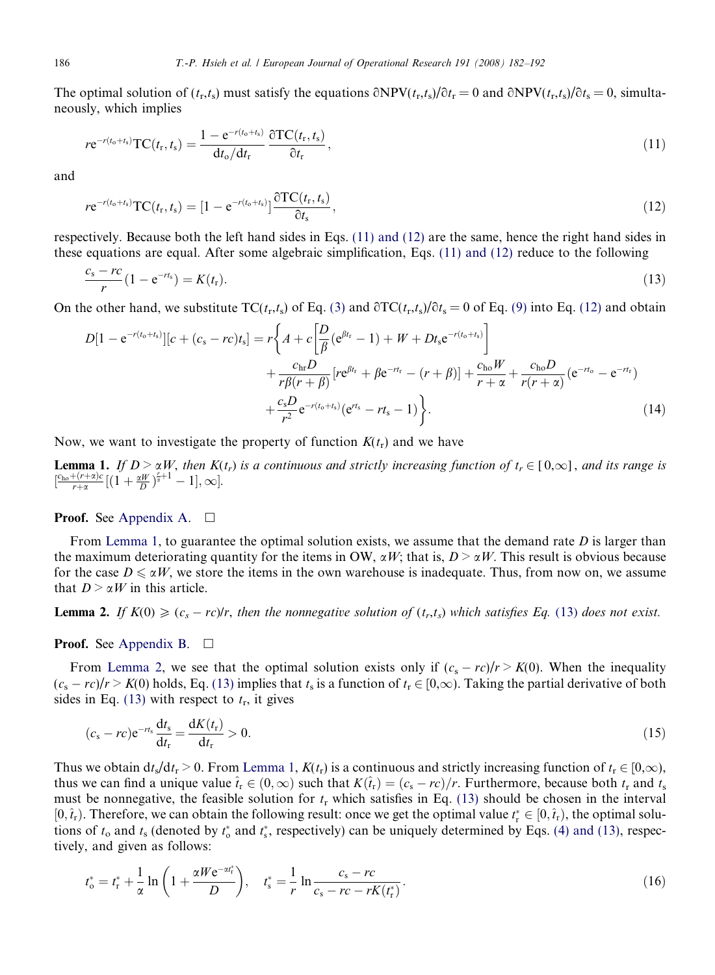<span id="page-4-0"></span>The optimal solution of  $(t_r,t_s)$  must satisfy the equations  $\partial NPV(t_r,t_s)/\partial t_r = 0$  and  $\partial NPV(t_r,t_s)/\partial t_s = 0$ , simultaneously, which implies

$$
re^{-r(t_0+t_s)}\text{TC}(t_\text{r},t_\text{s})=\frac{1-e^{-r(t_0+t_s)}}{\mathrm{d}t_\text{o}/\mathrm{d}t_\text{r}}\frac{\partial \text{TC}(t_\text{r},t_\text{s})}{\partial t_\text{r}},\tag{11}
$$

and

$$
re^{-r(t_0+t_s)}\text{TC}(t_\text{r},t_\text{s})=[1-e^{-r(t_0+t_s)}]\frac{\partial \text{TC}(t_\text{r},t_\text{s})}{\partial t_\text{s}},\tag{12}
$$

respectively. Because both the left hand sides in Eqs. (11) and (12) are the same, hence the right hand sides in these equations are equal. After some algebraic simplification, Eqs. (11) and (12) reduce to the following

$$
\frac{c_s - rc}{r} (1 - e^{-rt_s}) = K(t_r). \tag{13}
$$

On the other hand, we substitute  $TC(t_r,t_s)$  of Eq. [\(3\)](#page-3-0) and  $\partial TC(t_r,t_s)/\partial t_s = 0$  of Eq. (9) into Eq. (12) and obtain

$$
D[1 - e^{-r(t_0 + t_s)}][c + (c_s - rc)t_s] = r\left\{A + c\left[\frac{D}{\beta}(e^{\beta t_r} - 1) + W + Dt_s e^{-r(t_0 + t_s)}\right] + \frac{c_{\text{hr}}D}{r\beta(r + \beta)}[re^{\beta t_r} + \beta e^{-rt_r} - (r + \beta)] + \frac{c_{\text{ho}}W}{r + \alpha} + \frac{c_{\text{ho}}D}{r(r + \alpha)}(e^{-rt_o} - e^{-rt_r}) + \frac{c_sD}{r^2}e^{-r(t_0 + t_s)}(e^{rt_s} - rt_s - 1)\right\}.
$$
\n(14)

Now, we want to investigate the property of function  $K(t_r)$  and we have

**Lemma 1.** If  $D > \alpha W$ , then  $K(t_r)$  is a continuous and strictly increasing function of  $t_r \in [0,\infty]$ , and its range is  $\left[\frac{c_{\text{ho}}+(r+\alpha)c}{r+\alpha}\left[(1+\frac{\alpha W}{D})^{\frac{r}{\alpha}+1}-1\right],\infty\right].$ 

**Proof.** See Appendix A.  $\Box$ 

From Lemma 1, to guarantee the optimal solution exists, we assume that the demand rate  $D$  is larger than the maximum deteriorating quantity for the items in OW,  $\alpha W$ ; that is,  $D > \alpha W$ . This result is obvious because for the case  $D \le \alpha W$ , we store the items in the own warehouse is inadequate. Thus, from now on, we assume that  $D > \alpha W$  in this article.

**Lemma 2.** If  $K(0) \geq (c_s - rc)/r$ , then the nonnegative solution of  $(t_r,t_s)$  which satisfies Eq. (13) does not exist.

**Proof.** See Appendix B.  $\Box$ 

From Lemma 2, we see that the optimal solution exists only if  $(c_s - rc)/r > K(0)$ . When the inequality  $(c_s - rc)/r > K(0)$  holds, Eq. (13) implies that  $t_s$  is a function of  $t_r \in [0,\infty)$ . Taking the partial derivative of both sides in Eq. (13) with respect to  $t_r$ , it gives

$$
(c_s - rc)e^{-rt_s}\frac{dt_s}{dt_r} = \frac{dK(t_r)}{dt_r} > 0.
$$
\n(15)

Thus we obtain  $dt_s/dt_r > 0$ . From Lemma 1,  $K(t_r)$  is a continuous and strictly increasing function of  $t_r \in [0,\infty)$ , thus we can find a unique value  $\hat{t}_r \in (0,\infty)$  such that  $K(\hat{t}_r) = (c_s - rc)/r$ . Furthermore, because both  $t_r$  and  $t_s$ must be nonnegative, the feasible solution for  $t_r$  which satisfies in Eq. (13) should be chosen in the interval  $[0, \hat{t}_r)$ . Therefore, we can obtain the following result: once we get the optimal value  $t_r^* \in [0, \hat{t}_r)$ , the optimal solutions of  $t_0$  and  $t_s$  (denoted by  $t_0^*$  and  $t_s^*$ , respectively) can be uniquely determined by Eqs. [\(4\) and \(13\)](#page-3-0), respectively, and given as follows:

$$
t_{o}^{*} = t_{r}^{*} + \frac{1}{\alpha} \ln \left( 1 + \frac{\alpha W e^{-\alpha t_{r}^{*}}}{D} \right), \quad t_{s}^{*} = \frac{1}{r} \ln \frac{c_{s} - rc}{c_{s} - rc - rK(t_{r}^{*})}.
$$
\n(16)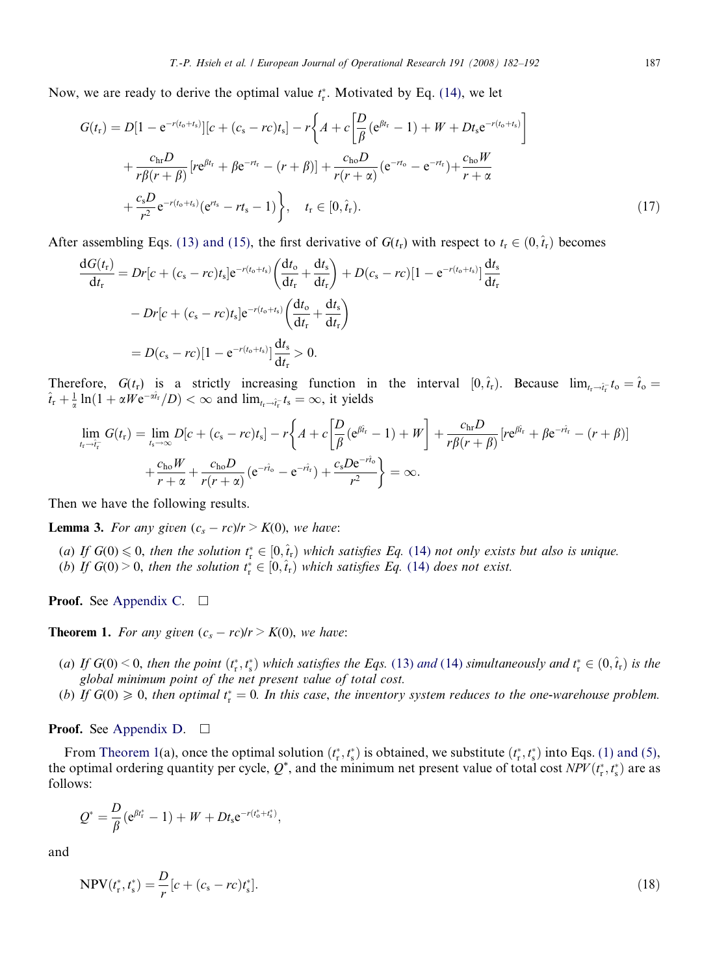<span id="page-5-0"></span>Now, we are ready to derive the optimal value  $t_{r}^{*}$ . Motivated by Eq. [\(14\)](#page-4-0), we let

$$
G(t_{r}) = D[1 - e^{-r(t_{o} + t_{s})}][c + (c_{s} - rc)t_{s}] - r\left\{A + c\left[\frac{D}{\beta}(e^{\beta t_{r}} - 1) + W + Dt_{s}e^{-r(t_{o} + t_{s})}\right] + \frac{c_{hr}D}{r\beta(r + \beta)}[re^{\beta t_{r}} + \beta e^{-rt_{r}} - (r + \beta)] + \frac{c_{ho}D}{r(r + \alpha)}(e^{-rt_{o}} - e^{-rt_{r}}) + \frac{c_{ho}W}{r + \alpha} + \frac{c_{s}D}{r^{2}}e^{-r(t_{o} + t_{s})}(e^{rt_{s}} - rt_{s} - 1)\right\}, \quad t_{r} \in [0, \hat{t}_{r}).
$$
\n(17)

After assembling Eqs. [\(13\) and \(15\),](#page-4-0) the first derivative of  $G(t_r)$  with respect to  $t_r \in (0,\hat{t}_r)$  becomes

$$
\frac{dG(t_r)}{dt_r} = Dr[c + (c_s - rc)t_s]e^{-r(t_o + t_s)} \left(\frac{dt_o}{dt_r} + \frac{dt_s}{dt_r}\right) + D(c_s - rc)[1 - e^{-r(t_o + t_s)}]\frac{dt_s}{dt_r}
$$

$$
- Dr[c + (c_s - rc)t_s]e^{-r(t_o + t_s)} \left(\frac{dt_o}{dt_r} + \frac{dt_s}{dt_r}\right)
$$

$$
= D(c_s - rc)[1 - e^{-r(t_o + t_s)}]\frac{dt_s}{dt_r} > 0.
$$

Therefore,  $G(t_r)$  is a strictly increasing function in the interval  $[0, \hat{t}_r)$ . Because  $\lim_{t_r \to \hat{t}_r} t_o = \hat{t}_o$  $\hat{t}_r + \frac{1}{\alpha} \ln(1 + \alpha W e^{-\alpha \hat{t}_r}/D) < \infty$  and  $\lim_{t_r \to \hat{t}_r} t_s = \infty$ , it yields

$$
\lim_{t_r \to \hat{t}_r^-} G(t_r) = \lim_{t_s \to \infty} D[c + (c_s - rc)t_s] - r \left\{ A + c \left[ \frac{D}{\beta} (e^{\beta \hat{t}_r} - 1) + W \right] + \frac{c_{hr}D}{r\beta(r+\beta)} [re^{\beta \hat{t}_r} + \beta e^{-r\hat{t}_r} - (r+\beta)] + \frac{c_{h0}W}{r+\alpha} + \frac{c_{h0}D}{r(r+\alpha)} (e^{-r\hat{t}_0} - e^{-r\hat{t}_r}) + \frac{c_s D e^{-r\hat{t}_0}}{r^2} \right\} = \infty.
$$

Then we have the following results.

**Lemma 3.** For any given  $(c_s - rc)/r > K(0)$ , we have:

(a) If  $G(0) \leq 0$ , then the solution  $t_r^* \in [0, \hat{t}_r)$  which satisfies Eq. ([14](#page-4-0)) not only exists but also is unique. (b) If  $G(0) > 0$ , then the solution  $t_r^* \in [0, \hat{t}_r)$  which satisfies Eq. ([14](#page-4-0)) does not exist.

**Proof.** See Appendix C.  $\Box$ 

**Theorem 1.** For any given  $(c_s - rc)/r > K(0)$ , we have:

- (a) If  $G(0) \le 0$ , then the point  $(t_r^*, t_s^*)$  which satisfies the Eqs. (13[\) and \(](#page-4-0)14) simultaneously and  $t_r^* \in (0, \hat{t}_r)$  is the global minimum point of the net present value of total cost.
- (b) If  $G(0) \ge 0$ , then optimal  $t_r^* = 0$ . In this case, the inventory system reduces to the one-warehouse problem.

# **Proof.** See Appendix D.  $\Box$

From Theorem 1(a), once the optimal solution  $(t_1^*, t_1^*)$  is obtained, we substitute  $(t_1^*, t_1^*)$  into Eqs. [\(1\) and \(5\)](#page-2-0), the optimal ordering quantity per cycle,  $Q^*$ , and the minimum net present value of total cost  $NPV(t_r^*, t_s^*)$  are as follows:

$$
Q^* = \frac{D}{\beta} (e^{\beta t^*_{\rm r}} - 1) + W + Dt_{\rm s} e^{-r(t^*_{\rm o} + t^*_{\rm s})},
$$

and

$$
NPV(t_r^*, t_s^*) = \frac{D}{r} [c + (c_s - rc)t_s^*].
$$
\n(18)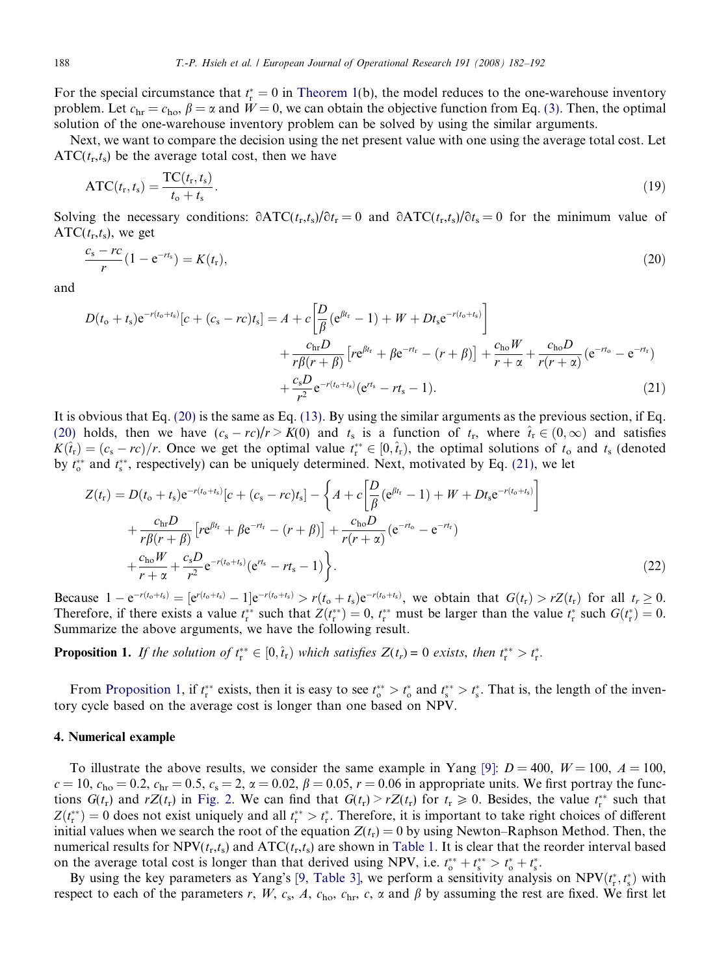<span id="page-6-0"></span>For the special circumstance that  $t_r^* = 0$  in [Theorem 1\(](#page-5-0)b), the model reduces to the one-warehouse inventory problem. Let  $c_{\text{hr}} = c_{\text{ho}}, \beta = \alpha$  and  $W = 0$ , we can obtain the objective function from Eq. [\(3\)](#page-3-0). Then, the optimal solution of the one-warehouse inventory problem can be solved by using the similar arguments.

Next, we want to compare the decision using the net present value with one using the average total cost. Let  $\text{ATC}(t_r,t_s)$  be the average total cost, then we have

$$
\text{ATC}(t_{\rm r}, t_{\rm s}) = \frac{\text{TC}(t_{\rm r}, t_{\rm s})}{t_{\rm o} + t_{\rm s}}.\tag{19}
$$

Solving the necessary conditions:  $\partial ATC(t_r,t_s)/\partial t_r = 0$  and  $\partial ATC(t_r,t_s)/\partial t_s = 0$  for the minimum value of  $ATC(t_r,t_s)$ , we get

$$
\frac{c_s - rc}{r}(1 - e^{-rt_s}) = K(t_r),
$$
\n(20)

and

$$
D(t_{o} + t_{s})e^{-r(t_{o} + t_{s})}[c + (c_{s} - rc)t_{s}] = A + c\left[\frac{D}{\beta}(e^{\beta t_{r}} - 1) + W + Dt_{s}e^{-r(t_{o} + t_{s})}\right] + \frac{c_{\ln}D}{r\beta(r + \beta)}[re^{\beta t_{r}} + \beta e^{-rt_{r}} - (r + \beta)] + \frac{c_{\ln}W}{r + \alpha} + \frac{c_{\ln}D}{r(r + \alpha)}(e^{-rt_{o}} - e^{-rt_{r}}) + \frac{c_{s}D}{r^{2}}e^{-r(t_{o} + t_{s})}(e^{rt_{s}} - rt_{s} - 1).
$$
\n(21)

It is obvious that Eq. (20) is the same as Eq. [\(13\)](#page-4-0). By using the similar arguments as the previous section, if Eq. (20) holds, then we have  $(c_s - rc)/r > K(0)$  and  $t_s$  is a function of  $t_r$ , where  $\hat{t}_r \in (0, \infty)$  and satisfies  $K(\hat{t}_r) = (c_s - rc)/r$ . Once we get the optimal value  $t_r^{**} \in [0, \hat{t}_r)$ , the optimal solutions of  $t_o$  and  $t_s$  (denoted by  $t_0^{**}$  and  $t_s^{**}$ , respectively) can be uniquely determined. Next, motivated by Eq. (21), we let

$$
Z(t_{r}) = D(t_{o} + t_{s})e^{-r(t_{o} + t_{s})}[c + (c_{s} - rc)t_{s}] - \left\{ A + c\left[\frac{D}{\beta}(e^{\beta t_{r}} - 1) + W + Dt_{s}e^{-r(t_{o} + t_{s})}\right] + \frac{c_{hr}D}{r\beta(r + \beta)}[re^{\beta t_{r}} + \beta e^{-rt_{r}} - (r + \beta)] + \frac{c_{ho}D}{r(r + \alpha)}(e^{-rt_{o}} - e^{-rt_{r}}) + \frac{c_{ho}W}{r + \alpha} + \frac{c_{s}D}{r^{2}}e^{-r(t_{o} + t_{s})}(e^{rt_{s}} - rt_{s} - 1)\right\}.
$$
\n(22)

Because  $1 - e^{-r(t_0 + t_s)} = [e^{r(t_0 + t_s)} - 1]e^{-r(t_0 + t_s)} > r(t_0 + t_s)e^{-r(t_0 + t_s)}$ , we obtain that  $G(t_r) > rZ(t_r)$  for all  $t_r \ge 0$ . Therefore, if there exists a value  $t_r^{**}$  such that  $Z(t_r^{**}) = 0$ ,  $t_r^{**}$  must be larger than the value  $t_r^*$  such  $G(t_r^*) = 0$ . Summarize the above arguments, we have the following result.

**Proposition 1.** If the solution of  $t_r^{**} \in [0, \hat{t}_r)$  which satisfies  $Z(t_r) = 0$  exists, then  $t_r^{**} > t_r^*$ .

From Proposition 1, if  $t_r^*$  exists, then it is easy to see  $t_0^* > t_0^*$  and  $t_s^* > t_s^*$ . That is, the length of the inventory cycle based on the average cost is longer than one based on NPV.

#### 4. Numerical example

To illustrate the above results, we consider the same example in Yang [\[9\]](#page-10-0):  $D = 400$ ,  $W = 100$ ,  $A = 100$ ,  $c = 10$ ,  $c_{\text{ho}} = 0.2$ ,  $c_{\text{hr}} = 0.5$ ,  $c_{\text{s}} = 2$ ,  $\alpha = 0.02$ ,  $\beta = 0.05$ ,  $r = 0.06$  in appropriate units. We first portray the functions  $G(t_r)$  and  $rZ(t_r)$  in [Fig. 2](#page-7-0). We can find that  $G(t_r) > rZ(t_r)$  for  $t_r \ge 0$ . Besides, the value  $t_r^{**}$  such that  $Z(t_r^{**}) = 0$  does not exist uniquely and all  $t_r^{**} > t_r^*$ . Therefore, it is important to take right choices of different initial values when we search the root of the equation  $Z(t<sub>r</sub>) = 0$  by using Newton–Raphson Method. Then, the numerical results for NPV( $t_r$ , $t_s$ ) and ATC( $t_r$ , $t_s$ ) are shown in [Table 1](#page-7-0). It is clear that the reorder interval based on the average total cost is longer than that derived using NPV, i.e.  $t_0^{**} + t_s^{**} > t_0^* + t_s^*$ .

By using the key parameters as Yang's [\[9, Table 3\],](#page-10-0) we perform a sensitivity analysis on NPV $(t_1^*, t_1^*)$  with respect to each of the parameters r, W,  $c_s$ , A,  $c_{ho}$ ,  $c_{h}$ ,  $c_s$ ,  $\alpha$  and  $\beta$  by assuming the rest are fixed. We first let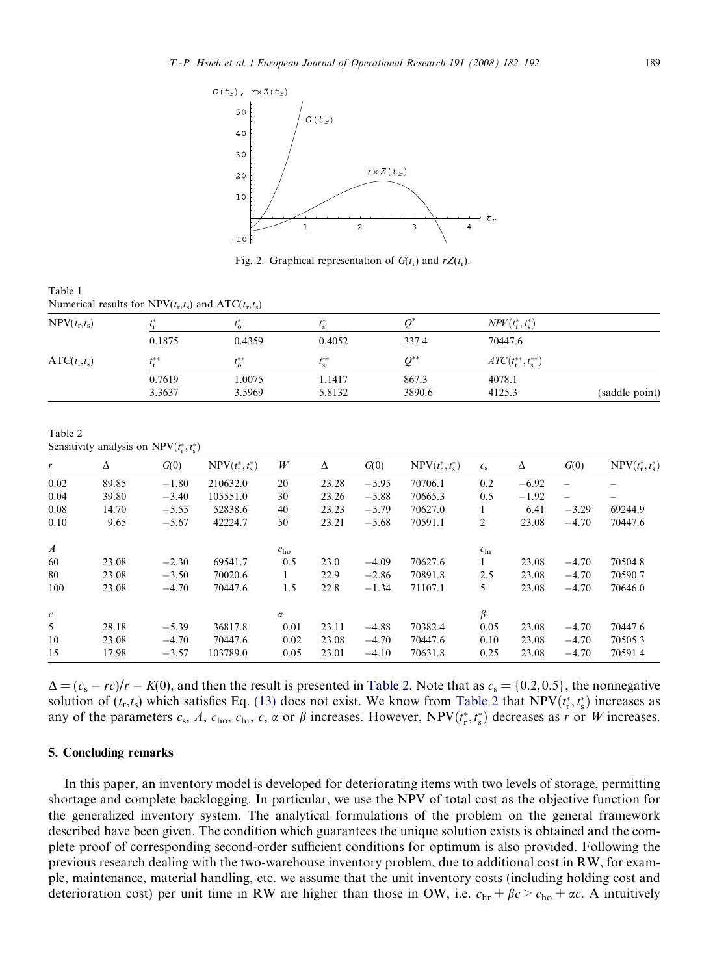<span id="page-7-0"></span>

Fig. 2. Graphical representation of  $G(t_r)$  and  $rZ(t_r)$ .

| Table 1                                                             |  |  |
|---------------------------------------------------------------------|--|--|
| Numerical results for NPV( $t_r$ , $t_s$ ) and ATC( $t_r$ , $t_s$ ) |  |  |

| $NPV(t_r,t_s)$                     |        |        |        | $\varrho{\text{\tiny{*}}}$ | $NPV(t_{\rm r}^*, t_{\rm s}^*)$ |                |
|------------------------------------|--------|--------|--------|----------------------------|---------------------------------|----------------|
|                                    | 0.1875 | 0.4359 | 0.4052 | 337.4                      | 70447.6                         |                |
| $\text{ATC}(t_{\rm r}, t_{\rm s})$ | ∡**    | ∡**    | ∡**    | $Q^{**}$                   | $ATC(t^{**}, t^{**})$           |                |
|                                    | 0.7619 | 1.0075 | 1.1417 | 867.3                      | 4078.1                          |                |
|                                    | 3.3637 | 3.5969 | 5.8132 | 3890.6                     | 4125.3                          | (saddle point) |
|                                    |        |        |        |                            |                                 |                |

Table 2

Sensitivity analysis on  $NPV(t_r^*, t_s^*)$ 

| r                | Δ     | G(0)    | $NPV(t_{r}^{*}, t_{s}^{*})$ | W            | Δ     | G(0)    | $NPV(t_r^*, t_s^*)$ | $c_{\rm s}$  | Δ       | G(0)    | $NPV(t_r^*, t_s^*)$ |
|------------------|-------|---------|-----------------------------|--------------|-------|---------|---------------------|--------------|---------|---------|---------------------|
| 0.02             | 89.85 | $-1.80$ | 210632.0                    | 20           | 23.28 | $-5.95$ | 70706.1             | 0.2          | $-6.92$ |         |                     |
| 0.04             | 39.80 | $-3.40$ | 105551.0                    | 30           | 23.26 | $-5.88$ | 70665.3             | 0.5          | $-1.92$ |         |                     |
| 0.08             | 14.70 | $-5.55$ | 52838.6                     | 40           | 23.23 | $-5.79$ | 70627.0             |              | 6.41    | $-3.29$ | 69244.9             |
| 0.10             | 9.65  | $-5.67$ | 42224.7                     | 50           | 23.21 | $-5.68$ | 70591.1             | 2            | 23.08   | $-4.70$ | 70447.6             |
| $\boldsymbol{A}$ |       |         |                             | $c_{\rm ho}$ |       |         |                     | $c_{\rm hr}$ |         |         |                     |
| 60               | 23.08 | $-2.30$ | 69541.7                     | 0.5          | 23.0  | $-4.09$ | 70627.6             |              | 23.08   | $-4.70$ | 70504.8             |
| 80               | 23.08 | $-3.50$ | 70020.6                     |              | 22.9  | $-2.86$ | 70891.8             | 2.5          | 23.08   | $-4.70$ | 70590.7             |
| 100              | 23.08 | $-4.70$ | 70447.6                     | 1.5          | 22.8  | $-1.34$ | 71107.1             | 5            | 23.08   | $-4.70$ | 70646.0             |
| $\mathcal C$     |       |         |                             | α            |       |         |                     | β            |         |         |                     |
| 5                | 28.18 | $-5.39$ | 36817.8                     | 0.01         | 23.11 | $-4.88$ | 70382.4             | 0.05         | 23.08   | $-4.70$ | 70447.6             |
| 10               | 23.08 | $-4.70$ | 70447.6                     | 0.02         | 23.08 | $-4.70$ | 70447.6             | 0.10         | 23.08   | $-4.70$ | 70505.3             |
| 15               | 17.98 | $-3.57$ | 103789.0                    | 0.05         | 23.01 | $-4.10$ | 70631.8             | 0.25         | 23.08   | $-4.70$ | 70591.4             |

 $\Delta = (c_s - rc)/r - K(0)$ , and then the result is presented in Table 2. Note that as  $c_s = \{0.2, 0.5\}$ , the nonnegative solution of  $(t_r, t_s)$  which satisfies Eq. [\(13\)](#page-4-0) does not exist. We know from Table 2 that NPV $(t_r^*, t_s^*)$  increases as any of the parameters  $c_s$ , A,  $c_{\text{ho}}$ ,  $c_{\text{hr}}$ ,  $c$ ,  $\alpha$  or  $\beta$  increases. However, NPV $(t_r^*, t_s^*)$  decreases as r or W increases.

## 5. Concluding remarks

In this paper, an inventory model is developed for deteriorating items with two levels of storage, permitting shortage and complete backlogging. In particular, we use the NPV of total cost as the objective function for the generalized inventory system. The analytical formulations of the problem on the general framework described have been given. The condition which guarantees the unique solution exists is obtained and the complete proof of corresponding second-order sufficient conditions for optimum is also provided. Following the previous research dealing with the two-warehouse inventory problem, due to additional cost in RW, for example, maintenance, material handling, etc. we assume that the unit inventory costs (including holding cost and deterioration cost) per unit time in RW are higher than those in OW, i.e.  $c_{\text{hr}} + \beta c > c_{\text{ho}} + \alpha c$ . A intuitively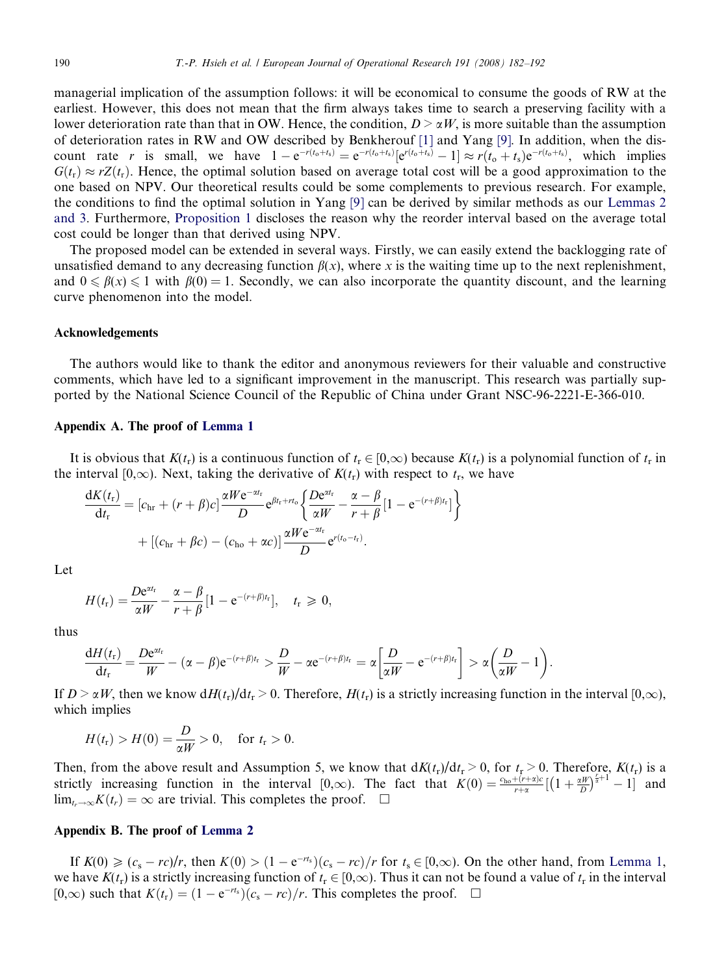managerial implication of the assumption follows: it will be economical to consume the goods of RW at the earliest. However, this does not mean that the firm always takes time to search a preserving facility with a lower deterioration rate than that in OW. Hence, the condition,  $D > \alpha W$ , is more suitable than the assumption of deterioration rates in RW and OW described by Benkherouf [\[1\]](#page-10-0) and Yang [\[9\]](#page-10-0). In addition, when the discount rate r is small, we have  $1 - e^{-r(t_0+t_s)} = e^{-r(t_0+t_s)}[e^{r(t_0+t_s)}-1] \approx r(t_0+t_s)e^{-r(t_0+t_s)}$ , which implies  $G(t_r) \approx rZ(t_r)$ . Hence, the optimal solution based on average total cost will be a good approximation to the one based on NPV. Our theoretical results could be some complements to previous research. For example, the conditions to find the optimal solution in Yang [\[9\]](#page-10-0) can be derived by similar methods as our [Lemmas 2](#page-4-0) [and 3.](#page-4-0) Furthermore, [Proposition 1](#page-6-0) discloses the reason why the reorder interval based on the average total cost could be longer than that derived using NPV.

The proposed model can be extended in several ways. Firstly, we can easily extend the backlogging rate of unsatisfied demand to any decreasing function  $\beta(x)$ , where x is the waiting time up to the next replenishment, and  $0 \le \beta(x) \le 1$  with  $\beta(0) = 1$ . Secondly, we can also incorporate the quantity discount, and the learning curve phenomenon into the model.

## Acknowledgements

The authors would like to thank the editor and anonymous reviewers for their valuable and constructive comments, which have led to a significant improvement in the manuscript. This research was partially supported by the National Science Council of the Republic of China under Grant NSC-96-2221-E-366-010.

# Appendix A. The proof of [Lemma 1](#page-4-0)

It is obvious that  $K(t_r)$  is a continuous function of  $t_r \in [0,\infty)$  because  $K(t_r)$  is a polynomial function of  $t_r$  in the interval [0, $\infty$ ). Next, taking the derivative of  $K(t_r)$  with respect to  $t_r$ , we have

$$
\frac{dK(t_r)}{dt_r} = [c_{hr} + (r+\beta)c] \frac{\alpha W e^{-\alpha t_r}}{D} e^{\beta t_r + rt_0} \left\{ \frac{De^{\alpha t_r}}{\alpha W} - \frac{\alpha - \beta}{r+\beta} [1 - e^{-(r+\beta)t_r}] \right\}
$$

$$
+ [(c_{hr} + \beta c) - (c_{ho} + \alpha c)] \frac{\alpha W e^{-\alpha t_r}}{D} e^{r(t_o - t_r)}.
$$

Let

$$
H(t_{\rm r})=\frac{De^{\alpha t_{\rm r}}}{\alpha W}-\frac{\alpha-\beta}{r+\beta}[1-e^{-(r+\beta)t_{\rm r}}],\quad t_{\rm r}\geqslant 0,
$$

thus

$$
\frac{dH(t_r)}{dt_r} = \frac{De^{\alpha t_r}}{W} - (\alpha - \beta)e^{-(r+\beta)t_r} > \frac{D}{W} - \alpha e^{-(r+\beta)t_r} = \alpha \left[\frac{D}{\alpha W} - e^{-(r+\beta)t_r}\right] > \alpha \left(\frac{D}{\alpha W} - 1\right).
$$

If  $D > \alpha W$ , then we know  $dH(t_r)/dt_r > 0$ . Therefore,  $H(t_r)$  is a strictly increasing function in the interval  $[0,\infty)$ , which implies

$$
H(t_{\rm r}) > H(0) = \frac{D}{\alpha W} > 0, \quad \text{for } t_{\rm r} > 0.
$$

Then, from the above result and Assumption 5, we know that  $dK(t_r)/dt_r > 0$ , for  $t_r > 0$ . Therefore,  $K(t_r)$  is a strictly increasing function in the interval [0, $\infty$ ). The fact that  $K(0) = \frac{c_{\text{ho}} + (r + \alpha)c}{r + \alpha} \left[ \left( 1 + \frac{\alpha B}{D} \right) \right]$  $[(1 + \frac{\alpha W}{R})^{\frac{r}{\alpha}+1} - 1]$  and  $\lim_{t_r \to \infty} K(t_r) = \infty$  are trivial. This completes the proof.  $\Box$ 

# Appendix B. The proof of [Lemma 2](#page-4-0)

If  $K(0) \geqslant (c_s - rc)/r$ , then  $K(0) > (1 - e^{-rt_s})(c_s - rc)/r$  for  $t_s \in [0,\infty)$ . On the other hand, from [Lemma 1,](#page-4-0) we have  $K(t_r)$  is a strictly increasing function of  $t_r \in [0,\infty)$ . Thus it can not be found a value of  $t_r$  in the interval  $[0,\infty)$  such that  $K(t_r) = (1 - e^{-rt_s})(c_s - rc)/r$ . This completes the proof.  $\Box$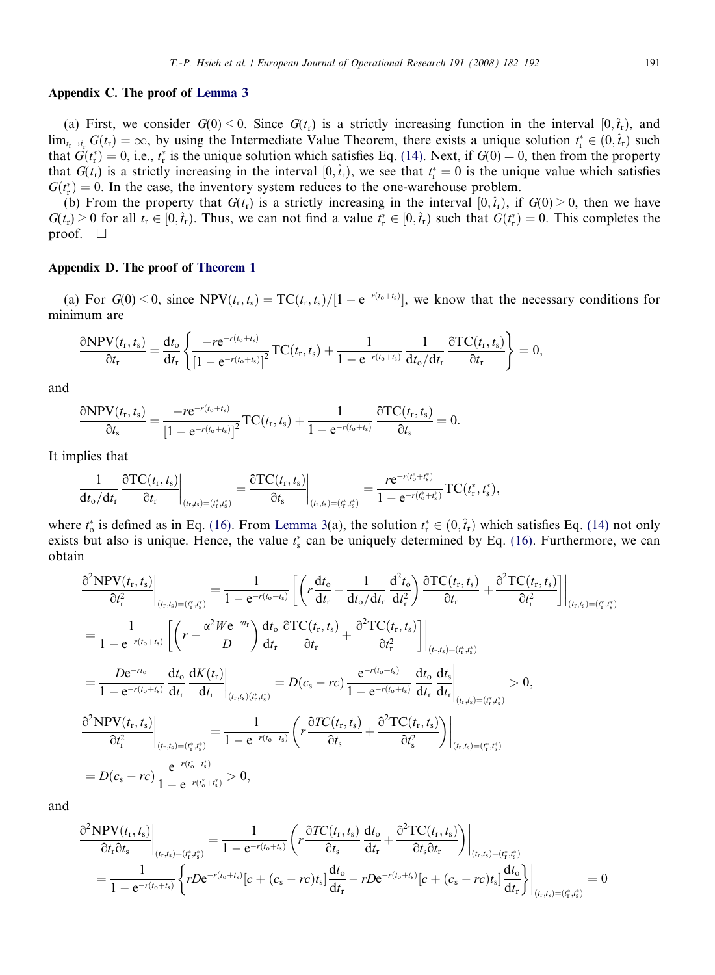#### Appendix C. The proof of [Lemma 3](#page-5-0)

(a) First, we consider  $G(0) < 0$ . Since  $G(t_r)$  is a strictly increasing function in the interval  $[0, \hat{t}_r)$ , and  $\lim_{t_r \to \hat{t}_r} G(t_r) = \infty$ , by using the Intermediate Value Theorem, there exists a unique solution  $t_r^* \in (0, \hat{t}_r)$  such that  $G(t_r^*) = 0$ , i.e.,  $t_r^*$  is the unique solution which satisfies Eq. [\(14\)](#page-4-0). Next, if  $G(0) = 0$ , then from the property that  $G(t_r)$  is a strictly increasing in the interval  $[0, \hat{t}_r)$ , we see that  $t_r^* = 0$  is the unique value which satisfies  $G(t_{\rm r}^*) = 0$ . In the case, the inventory system reduces to the one-warehouse problem.

(b) From the property that  $G(t_r)$  is a strictly increasing in the interval  $[0, \hat{t}_r)$ , if  $G(0) > 0$ , then we have  $G(t_r) > 0$  for all  $t_r \in [0, \hat{t}_r)$ . Thus, we can not find a value  $t_r^* \in [0, \hat{t}_r)$  such that  $G(t_r^*) = 0$ . This completes the proof.  $\Box$ 

#### Appendix D. The proof of [Theorem 1](#page-5-0)

(a) For  $G(0) \le 0$ , since  $NPV(t_r, t_s) = TC(t_r, t_s)/[1 - e^{-r(t_o + t_s)}]$ , we know that the necessary conditions for minimum are

$$
\frac{\partial NPV(t_r, t_s)}{\partial t_r} = \frac{dt_o}{dt_r} \left\{ \frac{-re^{-r(t_o + t_s)}}{\left[1 - e^{-r(t_o + t_s)}\right]^2} \text{TC}(t_r, t_s) + \frac{1}{1 - e^{-r(t_o + t_s)}} \frac{1}{dt_o/dt_r} \frac{\partial TC(t_r, t_s)}{\partial t_r} \right\} = 0,
$$

and

$$
\frac{\partial NPV(t_r,t_s)}{\partial t_s} = \frac{-re^{-r(t_o+t_s)}}{\left[1-e^{-r(t_o+t_s)}\right]^2}TC(t_r,t_s) + \frac{1}{1-e^{-r(t_o+t_s)}}\frac{\partial TC(t_r,t_s)}{\partial t_s} = 0.
$$

It implies that

$$
\frac{1}{dt_{o}/dt_{r}}\frac{\partial TC(t_{r},t_{s})}{\partial t_{r}}\bigg|_{(t_{r},t_{s})=(t_{r}^{*},t_{s}^{*})} = \frac{\partial TC(t_{r},t_{s})}{\partial t_{s}}\bigg|_{(t_{r},t_{s})=(t_{r}^{*},t_{s}^{*})} = \frac{re^{-r(t_{o}^{*}+t_{s}^{*})}}{1-e^{-r(t_{o}^{*}+t_{s}^{*})}}TC(t_{r}^{*},t_{s}^{*}),
$$

where  $t_0^*$  is defined as in Eq. [\(16\)](#page-4-0). From [Lemma 3\(](#page-5-0)a), the solution  $t_0^* \in (0, \hat{t}_1)$  which satisfies Eq. [\(14\)](#page-4-0) not only exists but also is unique. Hence, the value  $t_s^*$  can be uniquely determined by Eq. [\(16\).](#page-4-0) Furthermore, we can obtain

$$
\frac{\partial^2 \text{NPV}(t_r, t_s)}{\partial t_r^2} \Big|_{(t_r, t_s) = (t_r^*, t_s^*)} = \frac{1}{1 - e^{-r(t_o + t_s)}} \left[ \left( r \frac{dt_o}{dt_r} - \frac{1}{dt_o/dt_r} \frac{d^2 t_o}{dt_r^2} \right) \frac{\partial \text{TC}(t_r, t_s)}{\partial t_r} + \frac{\partial^2 \text{TC}(t_r, t_s)}{\partial t_r^2} \right] \Big|_{(t_r, t_s) = (t_r^*, t_s^*)} \n= \frac{1}{1 - e^{-r(t_o + t_s)}} \left[ \left( r - \frac{\alpha^2 W e^{-\alpha t_r}}{D} \right) \frac{dt_o}{dt_r} \frac{\partial \text{TC}(t_r, t_s)}{\partial t_r} + \frac{\partial^2 \text{TC}(t_r, t_s)}{\partial t_r^2} \right] \Big|_{(t_r, t_s) = (t_r^*, t_s^*)} \n= \frac{De^{-rt_o}}{1 - e^{-r(t_o + t_s)}} \frac{dt_o}{dt_r} \frac{dK(t_r)}{dt_r} \Big|_{(t_r, t_s) = (t_r^*, t_s^*)} = D(c_s - rc) \frac{e^{-r(t_o + t_s)}}{1 - e^{-r(t_o + t_s)}} \frac{dt_o}{dt_r} \frac{dt_s}{dt_r} \Big|_{(t_r, t_s) = (t_r^*, t_s^*)} > 0, \n\frac{\partial^2 \text{NPV}(t_r, t_s)}{\partial t_r^2} \Big|_{(t_r, t_s) = (t_r^*, t_s^*)} = \frac{1}{1 - e^{-r(t_o + t_s)}} \left( r \frac{\partial \text{TC}(t_r, t_s)}{\partial t_s} + \frac{\partial^2 \text{TC}(t_r, t_s)}{\partial t_s^2} \right) \Big|_{(t_r, t_s) = (t_r^*, t_s^*)} \n= D(c_s - rc) \frac{e^{-r(t_o^*, t_s^*)}}{1 - e^{-r(t_o^*, t_s^*)}} > 0,
$$

and

$$
\frac{\partial^2 NPV(t_r, t_s)}{\partial t_r \partial t_s}\Big|_{(t_r, t_s)=(t_r^*, t_s^*)} = \frac{1}{1 - e^{-r(t_o + t_s)}} \left( r \frac{\partial TC(t_r, t_s)}{\partial t_s} \frac{dt_o}{dt_r} + \frac{\partial^2 TC(t_r, t_s)}{\partial t_s \partial t_r} \right)\Big|_{(t_r, t_s)=(t_r^*, t_s^*)}
$$
\n
$$
= \frac{1}{1 - e^{-r(t_o + t_s)}} \left\{ r D e^{-r(t_o + t_s)} [c + (c_s - rc)t_s] \frac{dt_o}{dt_r} - r D e^{-r(t_o + t_s)} [c + (c_s - rc)t_s] \frac{dt_o}{dt_r} \right\}\Big|_{(t_r, t_s)=(t_r^*, t_s^*)} = 0
$$